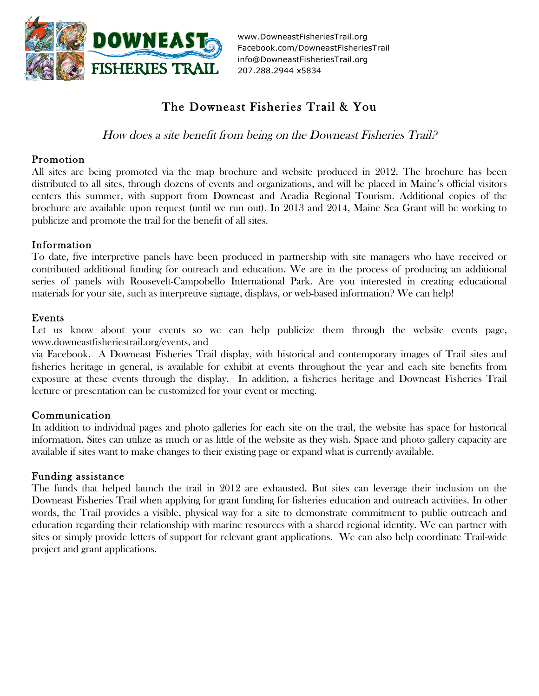

www.DowneastFisheriesTrail.org Facebook.com/DowneastFisheriesTrail info@DowneastFisheriesTrail.org 207.288.2944 x5834

# The Downeast Fisheries Trail & You

How does a site benefit from being on the Downeast Fisheries Trail?

## Promotion

All sites are being promoted via the map brochure and website produced in 2012. The brochure has been distributed to all sites, through dozens of events and organizations, and will be placed in Maine's official visitors centers this summer, with support from Downeast and Acadia Regional Tourism. Additional copies of the brochure are available upon request (until we run out). In 2013 and 2014, Maine Sea Grant will be working to publicize and promote the trail for the benefit of all sites.

## Information

To date, five interpretive panels have been produced in partnership with site managers who have received or contributed additional funding for outreach and education. We are in the process of producing an additional series of panels with Roosevelt-Campobello International Park. Are you interested in creating educational materials for your site, such as interpretive signage, displays, or web-based information? We can help!

#### Events

Let us know about your events so we can help publicize them through the website events page, www.downeastfisheriestrail.org/events, and

via Facebook. A Downeast Fisheries Trail display, with historical and contemporary images of Trail sites and fisheries heritage in general, is available for exhibit at events throughout the year and each site benefits from exposure at these events through the display. In addition, a fisheries heritage and Downeast Fisheries Trail lecture or presentation can be customized for your event or meeting.

#### Communication

In addition to individual pages and photo galleries for each site on the trail, the website has space for historical information. Sites can utilize as much or as little of the website as they wish. Space and photo gallery capacity are available if sites want to make changes to their existing page or expand what is currently available.

#### Funding assistance

The funds that helped launch the trail in 2012 are exhausted. But sites can leverage their inclusion on the Downeast Fisheries Trail when applying for grant funding for fisheries education and outreach activities. In other words, the Trail provides a visible, physical way for a site to demonstrate commitment to public outreach and education regarding their relationship with marine resources with a shared regional identity. We can partner with sites or simply provide letters of support for relevant grant applications. We can also help coordinate Trail-wide project and grant applications.